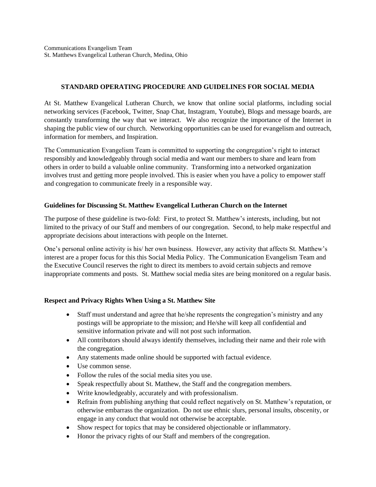# **STANDARD OPERATING PROCEDURE AND GUIDELINES FOR SOCIAL MEDIA**

At St. Matthew Evangelical Lutheran Church, we know that online social platforms, including social networking services (Facebook, Twitter, Snap Chat, Instagram, Youtube), Blogs and message boards, are constantly transforming the way that we interact. We also recognize the importance of the Internet in shaping the public view of our church. Networking opportunities can be used for evangelism and outreach, information for members, and Inspiration.

The Communication Evangelism Team is committed to supporting the congregation's right to interact responsibly and knowledgeably through social media and want our members to share and learn from others in order to build a valuable online community. Transforming into a networked organization involves trust and getting more people involved. This is easier when you have a policy to empower staff and congregation to communicate freely in a responsible way.

## **Guidelines for Discussing St. Matthew Evangelical Lutheran Church on the Internet**

The purpose of these guideline is two-fold: First, to protect St. Matthew's interests, including, but not limited to the privacy of our Staff and members of our congregation. Second, to help make respectful and appropriate decisions about interactions with people on the Internet.

One's personal online activity is his/ her own business. However, any activity that affects St. Matthew's interest are a proper focus for this this Social Media Policy. The Communication Evangelism Team and the Executive Council reserves the right to direct its members to avoid certain subjects and remove inappropriate comments and posts. St. Matthew social media sites are being monitored on a regular basis.

## **Respect and Privacy Rights When Using a St. Matthew Site**

- Staff must understand and agree that he/she represents the congregation's ministry and any postings will be appropriate to the mission; and He/she will keep all confidential and sensitive information private and will not post such information.
- All contributors should always identify themselves, including their name and their role with the congregation.
- Any statements made online should be supported with factual evidence.
- Use common sense.
- Follow the rules of the social media sites you use.
- Speak respectfully about St. Matthew, the Staff and the congregation members.
- Write knowledgeably, accurately and with professionalism.
- Refrain from publishing anything that could reflect negatively on St. Matthew's reputation, or otherwise embarrass the organization. Do not use ethnic slurs, personal insults, obscenity, or engage in any conduct that would not otherwise be acceptable.
- Show respect for topics that may be considered objectionable or inflammatory.
- Honor the privacy rights of our Staff and members of the congregation.